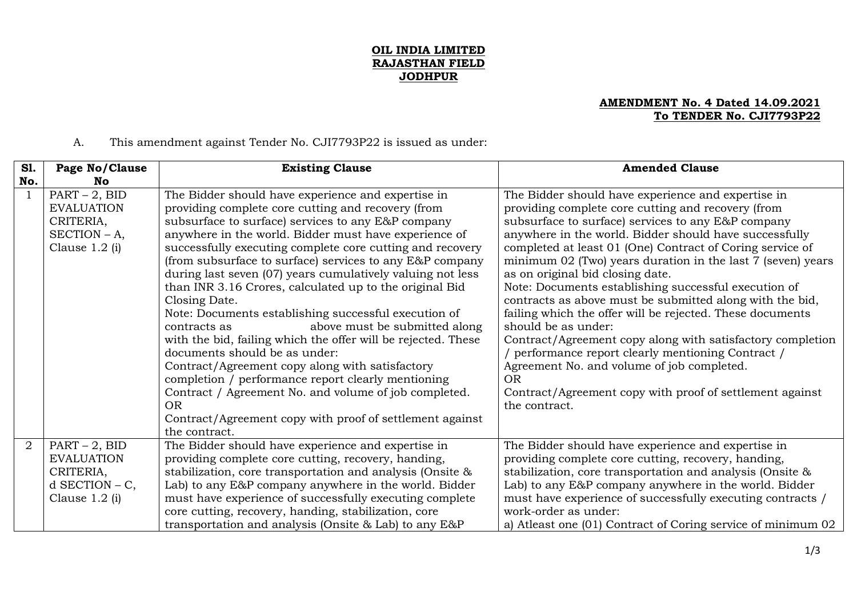## **OIL INDIA LIMITED RAJASTHAN FIELD JODHPUR**

## **AMENDMENT No. 4 Dated 14.09.2021 To TENDER No. CJI7793P22**

A. This amendment against Tender No. CJI7793P22 is issued as under:

| <b>S1.</b><br>No. | Page No/Clause<br>No.                                                                     | <b>Existing Clause</b>                                                                                                                                                                                                                                                                                                                                                                                                                                                                                                                                                                                                                                                                                                                                                                                                                                                                                                                                            | <b>Amended Clause</b>                                                                                                                                                                                                                                                                                                                                                                                                                                                                                                                                                                                                                                                                                                                                                                                                                                        |
|-------------------|-------------------------------------------------------------------------------------------|-------------------------------------------------------------------------------------------------------------------------------------------------------------------------------------------------------------------------------------------------------------------------------------------------------------------------------------------------------------------------------------------------------------------------------------------------------------------------------------------------------------------------------------------------------------------------------------------------------------------------------------------------------------------------------------------------------------------------------------------------------------------------------------------------------------------------------------------------------------------------------------------------------------------------------------------------------------------|--------------------------------------------------------------------------------------------------------------------------------------------------------------------------------------------------------------------------------------------------------------------------------------------------------------------------------------------------------------------------------------------------------------------------------------------------------------------------------------------------------------------------------------------------------------------------------------------------------------------------------------------------------------------------------------------------------------------------------------------------------------------------------------------------------------------------------------------------------------|
|                   | $PART - 2$ , BID<br><b>EVALUATION</b><br>CRITERIA,<br>$SECTION - A$ ,<br>Clause $1.2$ (i) | The Bidder should have experience and expertise in<br>providing complete core cutting and recovery (from<br>subsurface to surface) services to any E&P company<br>anywhere in the world. Bidder must have experience of<br>successfully executing complete core cutting and recovery<br>(from subsurface to surface) services to any E&P company<br>during last seven (07) years cumulatively valuing not less<br>than INR 3.16 Crores, calculated up to the original Bid<br>Closing Date.<br>Note: Documents establishing successful execution of<br>above must be submitted along<br>contracts as<br>with the bid, failing which the offer will be rejected. These<br>documents should be as under:<br>Contract/Agreement copy along with satisfactory<br>completion / performance report clearly mentioning<br>Contract / Agreement No. and volume of job completed.<br><b>OR</b><br>Contract/Agreement copy with proof of settlement against<br>the contract. | The Bidder should have experience and expertise in<br>providing complete core cutting and recovery (from<br>subsurface to surface) services to any E&P company<br>anywhere in the world. Bidder should have successfully<br>completed at least 01 (One) Contract of Coring service of<br>minimum 02 (Two) years duration in the last 7 (seven) years<br>as on original bid closing date.<br>Note: Documents establishing successful execution of<br>contracts as above must be submitted along with the bid,<br>failing which the offer will be rejected. These documents<br>should be as under:<br>Contract/Agreement copy along with satisfactory completion<br>/ performance report clearly mentioning Contract /<br>Agreement No. and volume of job completed.<br><b>OR</b><br>Contract/Agreement copy with proof of settlement against<br>the contract. |
| $\overline{2}$    | $PART - 2$ , BID<br><b>EVALUATION</b><br>CRITERIA,<br>$d$ SECTION – C,<br>Clause 1.2 (i)  | The Bidder should have experience and expertise in<br>providing complete core cutting, recovery, handing,<br>stabilization, core transportation and analysis (Onsite &<br>Lab) to any E&P company anywhere in the world. Bidder<br>must have experience of successfully executing complete<br>core cutting, recovery, handing, stabilization, core<br>transportation and analysis (Onsite & Lab) to any E&P                                                                                                                                                                                                                                                                                                                                                                                                                                                                                                                                                       | The Bidder should have experience and expertise in<br>providing complete core cutting, recovery, handing,<br>stabilization, core transportation and analysis (Onsite &<br>Lab) to any E&P company anywhere in the world. Bidder<br>must have experience of successfully executing contracts /<br>work-order as under:<br>a) Atleast one (01) Contract of Coring service of minimum 02                                                                                                                                                                                                                                                                                                                                                                                                                                                                        |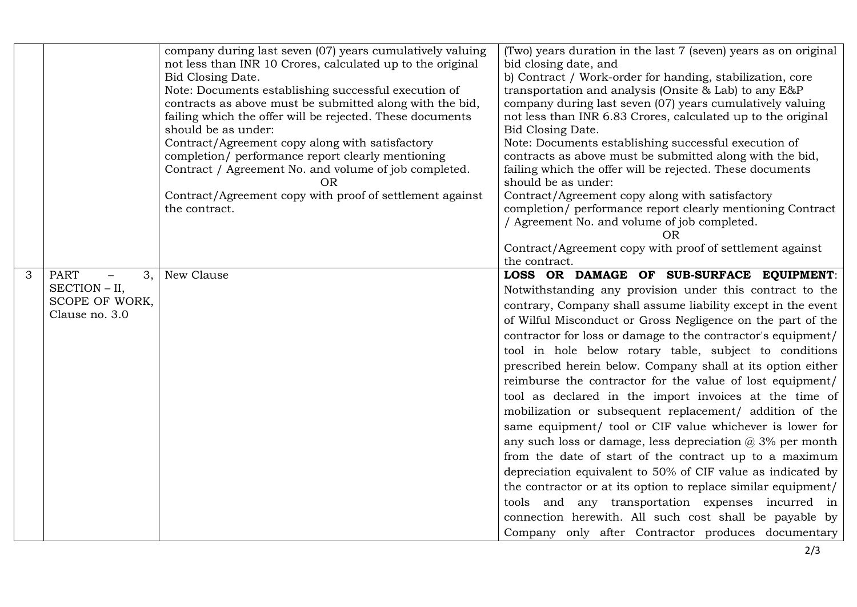|   |                                                                        | company during last seven (07) years cumulatively valuing<br>not less than INR 10 Crores, calculated up to the original<br>Bid Closing Date.<br>Note: Documents establishing successful execution of<br>contracts as above must be submitted along with the bid,<br>failing which the offer will be rejected. These documents<br>should be as under:<br>Contract/Agreement copy along with satisfactory<br>completion/ performance report clearly mentioning<br>Contract / Agreement No. and volume of job completed.<br>OR<br>Contract/Agreement copy with proof of settlement against<br>the contract. | (Two) years duration in the last 7 (seven) years as on original<br>bid closing date, and<br>b) Contract / Work-order for handing, stabilization, core<br>transportation and analysis (Onsite & Lab) to any E&P<br>company during last seven (07) years cumulatively valuing<br>not less than INR 6.83 Crores, calculated up to the original<br>Bid Closing Date.<br>Note: Documents establishing successful execution of<br>contracts as above must be submitted along with the bid,<br>failing which the offer will be rejected. These documents<br>should be as under:<br>Contract/Agreement copy along with satisfactory<br>completion/ performance report clearly mentioning Contract<br>/ Agreement No. and volume of job completed.<br>ΩR<br>Contract/Agreement copy with proof of settlement against                                                                                                                                                                                                                                                                                                               |
|---|------------------------------------------------------------------------|----------------------------------------------------------------------------------------------------------------------------------------------------------------------------------------------------------------------------------------------------------------------------------------------------------------------------------------------------------------------------------------------------------------------------------------------------------------------------------------------------------------------------------------------------------------------------------------------------------|---------------------------------------------------------------------------------------------------------------------------------------------------------------------------------------------------------------------------------------------------------------------------------------------------------------------------------------------------------------------------------------------------------------------------------------------------------------------------------------------------------------------------------------------------------------------------------------------------------------------------------------------------------------------------------------------------------------------------------------------------------------------------------------------------------------------------------------------------------------------------------------------------------------------------------------------------------------------------------------------------------------------------------------------------------------------------------------------------------------------------|
| 3 | <b>PART</b><br>3.<br>SECTION - II,<br>SCOPE OF WORK,<br>Clause no. 3.0 | New Clause                                                                                                                                                                                                                                                                                                                                                                                                                                                                                                                                                                                               | the contract.<br>LOSS OR DAMAGE OF SUB-SURFACE EQUIPMENT:<br>Notwithstanding any provision under this contract to the<br>contrary, Company shall assume liability except in the event<br>of Wilful Misconduct or Gross Negligence on the part of the<br>contractor for loss or damage to the contractor's equipment/<br>tool in hole below rotary table, subject to conditions<br>prescribed herein below. Company shall at its option either<br>reimburse the contractor for the value of lost equipment/<br>tool as declared in the import invoices at the time of<br>mobilization or subsequent replacement/ addition of the<br>same equipment/ tool or CIF value whichever is lower for<br>any such loss or damage, less depreciation $@3\%$ per month<br>from the date of start of the contract up to a maximum<br>depreciation equivalent to 50% of CIF value as indicated by<br>the contractor or at its option to replace similar equipment/<br>tools and any transportation expenses incurred in<br>connection herewith. All such cost shall be payable by<br>Company only after Contractor produces documentary |